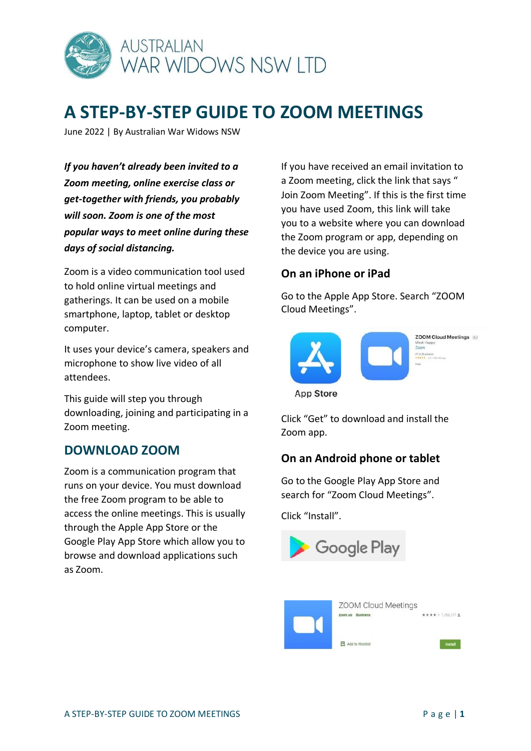

# **A STEP-BY-STEP GUIDE TO ZOOM MEETINGS**

June 2022 | By Australian War Widows NSW

*If you haven't already been invited to a Zoom meeting, online exercise class or get-together with friends, you probably will soon. Zoom is one of the most popular ways to meet online during these days of social distancing.*

Zoom is a video communication tool used to hold online virtual meetings and gatherings. It can be used on a mobile smartphone, laptop, tablet or desktop computer.

It uses your device's camera, speakers and microphone to show live video of all attendees.

This guide will step you through downloading, joining and participating in a Zoom meeting.

#### **DOWNLOAD ZOOM**

Zoom is a communication program that runs on your device. You must download the free Zoom program to be able to access the online meetings. This is usually through the Apple App Store or the Google Play App Store which allow you to browse and download applications such as Zoom.

If you have received an email invitation to a Zoom meeting, click the link that says " Join Zoom Meeting". If this is the first time you have used Zoom, this link will take you to a website where you can download the Zoom program or app, depending on the device you are using.

#### **On an iPhone or iPad**

Go to the Apple App Store. Search "ZOOM Cloud Meetings".



**App Store** 

Click "Get" to download and install the Zoom app.

#### **On an Android phone or tablet**

Go to the Google Play App Store and search for "Zoom Cloud Meetings".

Click "Install".



| ZOOM Cloud Meetings |                    |
|---------------------|--------------------|
| Rusiness<br>zoom.us | ★★★★ ☆ 1,755,777 ± |
| Add to Wishlist     | <b>Install</b>     |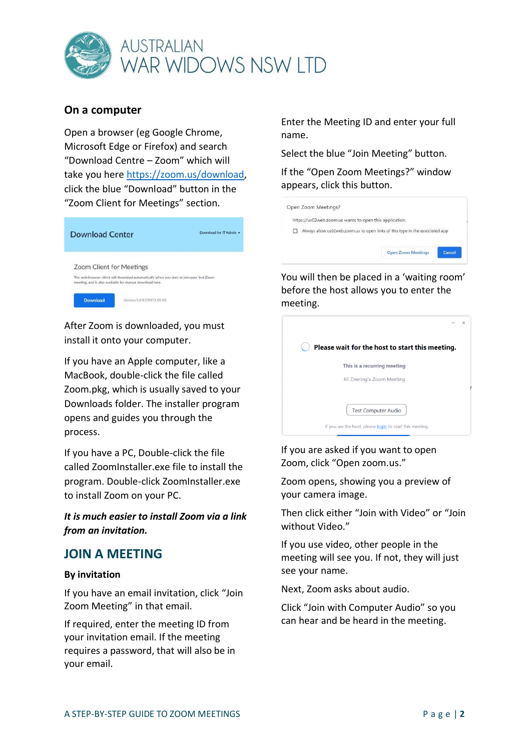

#### **On a computer**

Open a browser (eg Google Chrome, Microsoft Edge or Firefox) and search "Download Centre – Zoom" which will take you here [https://zoom.us/download,](https://zoom.us/download) click the blue "Download" button in the "Zoom Client for Meetings" section.

| <b>Download Center</b>   |                                                                                                                                                       | Download for IT Admin |
|--------------------------|-------------------------------------------------------------------------------------------------------------------------------------------------------|-----------------------|
| Zoom Client for Meetings | The web browser client will download automatically when you start or join your first Zoom<br>meeting, and is also available for manual download here. |                       |
| <b>Download</b>          | Version 5.4.9 (59931.0110)                                                                                                                            |                       |

After Zoom is downloaded, you must install it onto your computer.

If you have an Apple computer, like a MacBook, double-click the file called Zoom.pkg, which is usually saved to your Downloads folder. The installer program opens and guides you through the process.

If you have a PC, Double-click the file called ZoomInstaller.exe file to install the program. Double-click ZoomInstaller.exe to install Zoom on your PC.

*It is much easier to install Zoom via a link from an invitation.*

#### **JOIN A MEETING**

#### **By invitation**

If you have an email invitation, click "Join Zoom Meeting" in that email.

If required, enter the meeting ID from your invitation email. If the meeting requires a password, that will also be in your email.

Enter the Meeting ID and enter your full name.

Select the blue "Join Meeting" button.

If the "Open Zoom Meetings?" window appears, click this button.



You will then be placed in a 'waiting room' before the host allows you to enter the meeting.

|                                                          | $\times$ |  |
|----------------------------------------------------------|----------|--|
| Please wait for the host to start this meeting.          |          |  |
| This is a recurring meeting                              |          |  |
| Jill Deering's Zoom Meeting                              |          |  |
|                                                          |          |  |
| <b>Test Computer Audio</b>                               |          |  |
| If you are the host, please login to start this meeting. |          |  |

If you are asked if you want to open Zoom, click "Open zoom.us."

Zoom opens, showing you a preview of your camera image.

Then click either "Join with Video" or "Join without Video."

If you use video, other people in the meeting will see you. If not, they will just see your name.

Next, Zoom asks about audio.

Click "Join with Computer Audio" so you can hear and be heard in the meeting.